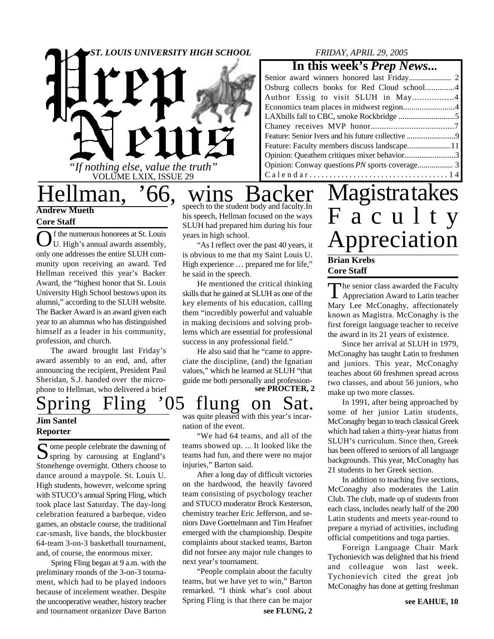## *ST. LOUIS UNIVERSITY HIGH SCHOOL*



## *FRIDAY, APRIL 29, 2005*

## **In this week's** *Prep News***...**

| Osburg collects books for Red Cloud school4 |  |
|---------------------------------------------|--|
|                                             |  |
| Economics team places in midwest region4    |  |
|                                             |  |
|                                             |  |
|                                             |  |
|                                             |  |
| Opinion: Queathem critiques mixer behavior3 |  |
|                                             |  |
| Calendar14                                  |  |

**Core Staff**

## Hellman, '66, wins Backer Magistratakes **Andrew Mueth**

### **Core Staff**

 $\overline{O}$ f the numerous honorees at St. Louis U. High's annual awards assembly, only one addresses the entire SLUH community upon receiving an award. Ted Hellman received this year's Backer Award, the "highest honor that St. Louis University High School bestows upon its alumni," according to the SLUH website. The Backer Award is an award given each year to an alumnus who has distinguished himself as a leader in his community, profession, and church.

The award brought last Friday's award assembly to an end, and, after announcing the recipient, President Paul Sheridan, S.J. handed over the microphone to Hellman, who delivered a brief

## pring Fling '05 flung on Sat.

#### **Jim Santel Reporter**

Some people celebrate the dawning of<br>
spring by carousing at England's **T** ome people celebrate the dawning of Stonehenge overnight. Others choose to dance around a maypole. St. Louis U. High students, however, welcome spring with STUCO's annual Spring Fling, which took place last Saturday. The day-long celebration featured a barbeque, video games, an obstacle course, the traditional car-smash, live bands, the blockbuster 64-team 3-on-3 basketball tournament, and, of course, the enormous mixer.

Spring Fling began at 9 a.m. with the preliminary rounds of the 3-on-3 tournament, which had to be played indoors because of incelement weather. Despite the uncooperative weather, history teacher and tournament organizer Dave Barton

speech to the student body and faculty.In his speech, Hellman focused on the ways SLUH had prepared him during his four years in high school.

"As I reflect over the past 40 years, it is obvious to me that my Saint Louis U. High experience … prepared me for life," he said in the speech.

He mentioned the critical thinking skills that he gained at SLUH as one of the key elements of his education, calling them "incredibly powerful and valuable in making decisions and solving problems which are essential for professional success in any professional field."

He also said that he "came to appreciate the discipline, (and) the Ignatian values," which he learned at SLUH "that guide me both personally and profession-

**see PROCTER, 2**

was quite pleased with this year's incarnation of the event.

"We had 64 teams, and all of the teams showed up. ... It looked like the teams had fun, and there were no major injuries," Barton said.

After a long day of difficult victories on the hardwood, the heavily favored team consisting of psychology teacher and STUCO moderator Brock Kesterson, chemistry teacher Eric Jefferson, and seniors Dave Goettelmann and Tim Heafner emerged with the championship. Despite complaints about stacked teams, Barton did not forsee any major rule changes to next year's tournament.

"People complain about the faculty teams, but we have yet to win," Barton remarked. "I think what's cool about Spring Fling is that there can be major

## a c u l t y ppreciation **Brian Krebs**

The senior class awarded the Faculty<br>Appreciation Award to Latin teacher Appreciation Award to Latin teacher Mary Lee McConaghy, affectionately known as Magistra. McConaghy is the first foreign language teacher to receive the award in its 21 years of existence.

Since her arrival at SLUH in 1979, McConaghy has taught Latin to freshmen and juniors. This year, McConaghy teaches about 60 freshmen spread across two classes, and about 56 juniors, who make up two more classes.

In 1991, after being approached by some of her junior Latin students, McConaghy began to teach classical Greek which had taken a thirty-year hiatus from SLUH's curriculum. Since then, Greek has been offered to seniors of all language backgrounds. This year, McConaghy has 21 students in her Greek section.

In addition to teaching five sections, McConaghy also moderates the Latin Club. The club, made up of students from each class, includes nearly half of the 200 Latin students and meets year-round to prepare a myriad of activities, including official competitions and toga parties.

Foreign Language Chair Mark Tychonievich was delighted that his friend and colleague won last week. Tychonievich cited the great job McConaghy has done at getting freshman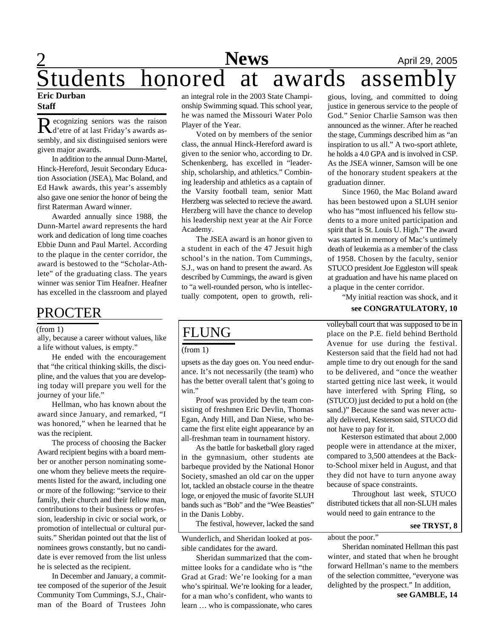## **News** April 29, 2005 **News**<br>**honored** at tudents honored at awards assembl

#### **Eric Durban Staff**

Recognizing seniors was the raison<br>Reliefre of at last Friday's awards asecognizing seniors was the raison sembly, and six distinguised seniors were given major awards.

In addition to the annual Dunn-Martel, Hinck-Hereford, Jesuit Secondary Education Association (JSEA), Mac Boland, and Ed Hawk awards, this year's assembly also gave one senior the honor of being the first Raterman Award winner.

Awarded annually since 1988, the Dunn-Martel award represents the hard work and dedication of long time coaches Ebbie Dunn and Paul Martel. According to the plaque in the center corridor, the award is bestowed to the "Scholar-Athlete" of the graduating class. The years winner was senior Tim Heafner. Heafner has excelled in the classroom and played

## PROCTER

#### (from 1)

ally, because a career without values, like a life without values, is empty."

He ended with the encouragement that "the critical thinking skills, the discipline, and the values that you are developing today will prepare you well for the journey of your life."

Hellman, who has known about the award since January, and remarked, "I was honored," when he learned that he was the recipient.

The process of choosing the Backer Award recipient begins with a board member or another person nominating someone whom they believe meets the requirements listed for the award, including one or more of the following: "service to their family, their church and their fellow man, contributions to their business or profession, leadership in civic or social work, or promotion of intellectual or cultural pursuits." Sheridan pointed out that the list of nominees grows constantly, but no candidate is ever removed from the list unless he is selected as the recipient.

In December and January, a committee composed of the superior of the Jesuit Community Tom Cummings, S.J., Chairman of the Board of Trustees John

an integral role in the 2003 State Championship Swimming squad. This school year, he was named the Missouri Water Polo Player of the Year.

Voted on by members of the senior class, the annual Hinck-Hereford award is given to the senior who, according to Dr. Schenkenberg, has excelled in "leadership, scholarship, and athletics." Combining leadership and athletics as a captain of the Varsity football team, senior Matt Herzberg was selected to recieve the award. Herzberg will have the chance to develop his leadership next year at the Air Force Academy.

The JSEA award is an honor given to a student in each of the 47 Jesuit high school's in the nation. Tom Cummings, S.J., was on hand to present the award. As described by Cummings, the award is given to "a well-rounded person, who is intellectually compotent, open to growth, reli-

## FLUNG

(from 1)

upsets as the day goes on. You need endurance. It's not necessarily (the team) who has the better overall talent that's going to win."

Proof was provided by the team consisting of freshmen Eric Devlin, Thomas Egan, Andy Hill, and Dan Niese, who became the first elite eight appearance by an all-freshman team in tournament history.

As the battle for basketball glory raged in the gymnasium, other students ate barbeque provided by the National Honor Society, smashed an old car on the upper lot, tackled an obstacle course in the theatre loge, or enjoyed the music of favorite SLUH bands such as "Bob" and the "Wee Beasties" in the Danis Lobby.

The festival, however, lacked the sand

Wunderlich, and Sheridan looked at possible candidates for the award.

Sheridan summarized that the committee looks for a candidate who is "the Grad at Grad: We're looking for a man who's spiritual. We're looking for a leader, for a man who's confident, who wants to learn … who is compassionate, who cares

gious, loving, and committed to doing justice in generous service to the people of God." Senior Charlie Samson was then announced as the winner. After he reached the stage, Cummings described him as "an inspiration to us all." A two-sport athlete, he holds a 4.0 GPA and is involved in CSP. As the JSEA winner, Samson will be one of the honorary student speakers at the graduation dinner.

Since 1960, the Mac Boland award has been bestowed upon a SLUH senior who has "most influenced his fellow students to a more united participation and spirit that is St. Louis U. High." The award was started in memory of Mac's untimely death of leukemia as a member of the class of 1958. Chosen by the faculty, senior STUCO president Joe Eggleston will speak at graduation and have his name placed on a plaque in the center corridor.

**see CONGRATULATORY, 10** "My initial reaction was shock, and it

volleyball court that was supposed to be in place on the P.E. field behind Berthold Avenue for use during the festival. Kesterson said that the field had not had ample time to dry out enough for the sand to be delivered, and "once the weather started getting nice last week, it would have interfered with Spring Fling, so (STUCO) just decided to put a hold on (the sand.)" Because the sand was never actually delivered, Kesterson said, STUCO did not have to pay for it.

Kesterson estimated that about 2,000 people were in attendance at the mixer, compared to 3,500 attendees at the Backto-School mixer held in August, and that they did not have to turn anyone away because of space constraints.

 Throughout last week, STUCO distributed tickets that all non-SLUH males would need to gain entrance to the

**see TRYST, 8**

#### about the poor."

Sheridan nominated Hellman this past winter, and stated that when he brought forward Hellman's name to the members of the selection committee, "everyone was delighted by the prospect." In addition,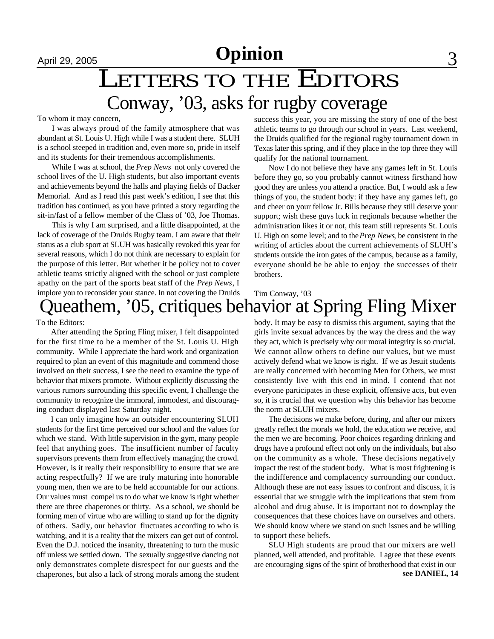## LETTERS TO THE EDITORS Conway, '03, asks for rugby coverage

To whom it may concern,

I was always proud of the family atmosphere that was abundant at St. Louis U. High while I was a student there. SLUH is a school steeped in tradition and, even more so, pride in itself and its students for their tremendous accomplishments.

While I was at school, the *Prep News* not only covered the school lives of the U. High students, but also important events and achievements beyond the halls and playing fields of Backer Memorial. And as I read this past week's edition, I see that this tradition has continued, as you have printed a story regarding the sit-in/fast of a fellow member of the Class of '03, Joe Thomas.

This is why I am surprised, and a little disappointed, at the lack of coverage of the Druids Rugby team. I am aware that their status as a club sport at SLUH was basically revoked this year for several reasons, which I do not think are necessary to explain for the purpose of this letter. But whether it be policy not to cover athletic teams strictly aligned with the school or just complete apathy on the part of the sports beat staff of the *Prep News*, I implore you to reconsider your stance. In not covering the Druids success this year, you are missing the story of one of the best athletic teams to go through our school in years. Last weekend, the Druids qualified for the regional rugby tournament down in Texas later this spring, and if they place in the top three they will qualify for the national tournament.

Now I do not believe they have any games left in St. Louis before they go, so you probably cannot witness firsthand how good they are unless you attend a practice. But, I would ask a few things of you, the student body: if they have any games left, go and cheer on your fellow Jr. Bills because they still deserve your support; wish these guys luck in regionals because whether the administration likes it or not, this team still represents St. Louis U. High on some level; and to the *Prep News*, be consistent in the writing of articles about the current achievements of SLUH's students outside the iron gates of the campus, because as a family, everyone should be be able to enjoy the successes of their brothers.

Tim Conway, '03

## Queathem, '05, critiques behavior at Spring Fling Mixer

To the Editors:

After attending the Spring Fling mixer, I felt disappointed for the first time to be a member of the St. Louis U. High community. While I appreciate the hard work and organization required to plan an event of this magnitude and commend those involved on their success, I see the need to examine the type of behavior that mixers promote. Without explicitly discussing the various rumors surrounding this specific event, I challenge the community to recognize the immoral, immodest, and discouraging conduct displayed last Saturday night.

I can only imagine how an outsider encountering SLUH students for the first time perceived our school and the values for which we stand. With little supervision in the gym, many people feel that anything goes. The insufficient number of faculty supervisors prevents them from effectively managing the crowd. However, is it really their responsibility to ensure that we are acting respectfully? If we are truly maturing into honorable young men, then we are to be held accountable for our actions. Our values must compel us to do what we know is right whether there are three chaperones or thirty. As a school, we should be forming men of virtue who are willing to stand up for the dignity of others. Sadly, our behavior fluctuates according to who is watching, and it is a reality that the mixers can get out of control. Even the D.J. noticed the insanity, threatening to turn the music off unless we settled down. The sexually suggestive dancing not only demonstrates complete disrespect for our guests and the chaperones, but also a lack of strong morals among the student body. It may be easy to dismiss this argument, saying that the girls invite sexual advances by the way the dress and the way they act, which is precisely why our moral integrity is so crucial. We cannot allow others to define our values, but we must actively defend what we know is right. If we as Jesuit students are really concerned with becoming Men for Others, we must consistently live with this end in mind. I contend that not everyone participates in these explicit, offensive acts, but even so, it is crucial that we question why this behavior has become the norm at SLUH mixers.

The decisions we make before, during, and after our mixers greatly reflect the morals we hold, the education we receive, and the men we are becoming. Poor choices regarding drinking and drugs have a profound effect not only on the individuals, but also on the community as a whole. These decisions negatively impact the rest of the student body. What is most frightening is the indifference and complacency surrounding our conduct. Although these are not easy issues to confront and discuss, it is essential that we struggle with the implications that stem from alcohol and drug abuse. It is important not to downplay the consequences that these choices have on ourselves and others. We should know where we stand on such issues and be willing. to support these beliefs.

SLU High students are proud that our mixers are well planned, well attended, and profitable. I agree that these events are encouraging signs of the spirit of brotherhood that exist in our **see DANIEL, 14**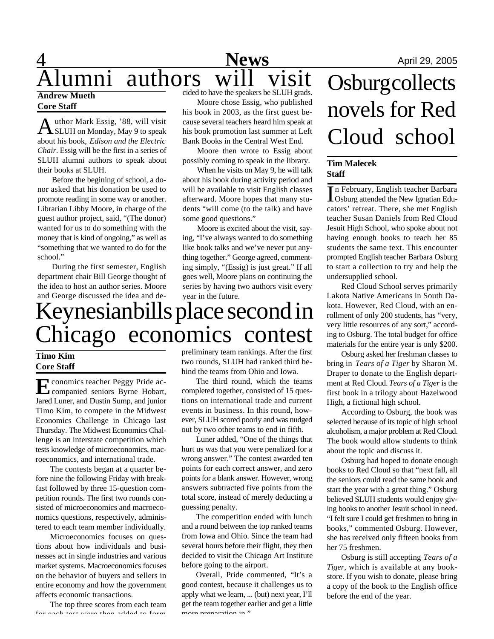## 4 **News** April 29, 2005 umni authors will visit Osburg collects **Andrew Mueth** cided to have the speakers be SLUH grads.

### **Core Staff**

A uthor Mark Essig, '88, will visit<br>SLUH on Monday, May 9 to speak uthor Mark Essig, '88, will visit about his book, *Edison and the Electric Chair*. Essig will be the first in a series of SLUH alumni authors to speak about their books at SLUH.

Before the begining of school, a donor asked that his donation be used to promote reading in some way or another. Librarian Libby Moore, in charge of the guest author project, said, "(The donor) wanted for us to do something with the money that is kind of ongoing," as well as "something that we wanted to do for the school."

During the first semester, English department chair Bill George thought of the idea to host an author series. Moore and George discussed the idea and de-

Moore chose Essig, who published his book in 2003, as the first guest because several teachers heard him speak at his book promotion last summer at Left Bank Books in the Central West End.

Moore then wrote to Essig about possibly coming to speak in the library.

When he visits on May 9, he will talk about his book during activity period and will be available to visit English classes afterward. Moore hopes that many students "will come (to the talk) and have some good questions."

Moore is excited about the visit, saying, "I've always wanted to do something like book talks and we've never put anything together." George agreed, commenting simply, "(Essig) is just great." If all goes well, Moore plans on continuing the series by having two authors visit every year in the future.

## Keynesianbills place second in Chicago economics contest

### **Timo Kim Core Staff**

E conomics teacher Peggy Pride accompanied seniors Byrne Hobart, Jared Luner, and Dustin Sump, and junior Timo Kim, to compete in the Midwest Economics Challenge in Chicago last Thursday. The Midwest Economics Challenge is an interstate competition which tests knowledge of microeconomics, macroeconomics, and international trade.

The contests began at a quarter before nine the following Friday with breakfast followed by three 15-question competition rounds. The first two rounds consisted of microeconomics and macroeconomics questions, respectively, administered to each team member individually.

Microeconomics focuses on questions about how individuals and businesses act in single industries and various market systems. Macroeconomics focuses on the behavior of buyers and sellers in entire economy and how the government affects economic transactions.

The top three scores from each team for each test were then added to form

preliminary team rankings. After the first two rounds, SLUH had ranked third behind the teams from Ohio and Iowa.

The third round, which the teams completed together, consisted of 15 questions on international trade and current events in business. In this round, however, SLUH scored poorly and was nudged out by two other teams to end in fifth.

Luner added, "One of the things that hurt us was that you were penalized for a wrong answer." The contest awarded ten points for each correct answer, and zero points for a blank answer. However, wrong answers subtracted five points from the total score, instead of merely deducting a guessing penalty.

The competition ended with lunch and a round between the top ranked teams from Iowa and Ohio. Since the team had several hours before their flight, they then decided to visit the Chicago Art Institute before going to the airport.

Overall, Pride commented, "It's a good contest, because it challenges us to apply what we learn, ... (but) next year, I'll get the team together earlier and get a little more preparation in."

# novels for Red Cloud school

### **Tim Malecek Staff**

In February, English teacher Barbara<br>Osburg attended the New Ignatian Edun February, English teacher Barbara cators' retreat. There, she met English teacher Susan Daniels from Red Cloud Jesuit High School, who spoke about not having enough books to teach her 85 students the same text. This encounter prompted English teacher Barbara Osburg to start a collection to try and help the undersupplied school.

Red Cloud School serves primarily Lakota Native Americans in South Dakota. However, Red Cloud, with an enrollment of only 200 students, has "very, very little resources of any sort," according to Osburg. The total budget for office materials for the entire year is only \$200.

Osburg asked her freshman classes to bring in *Tears of a Tiger* by Sharon M. Draper to donate to the English department at Red Cloud. *Tears of a Tiger* is the first book in a trilogy about Hazelwood High, a fictional high school.

According to Osburg, the book was selected because of its topic of high school alcoholism, a major problem at Red Cloud. The book would allow students to think about the topic and discuss it.

Osburg had hoped to donate enough books to Red Cloud so that "next fall, all the seniors could read the same book and start the year with a great thing." Osburg believed SLUH students would enjoy giving books to another Jesuit school in need. "I felt sure I could get freshmen to bring in books," commented Osburg. However, she has received only fifteen books from her 75 freshmen.

Osburg is still accepting *Tears of a Tiger*, which is available at any bookstore. If you wish to donate, please bring a copy of the book to the English office before the end of the year.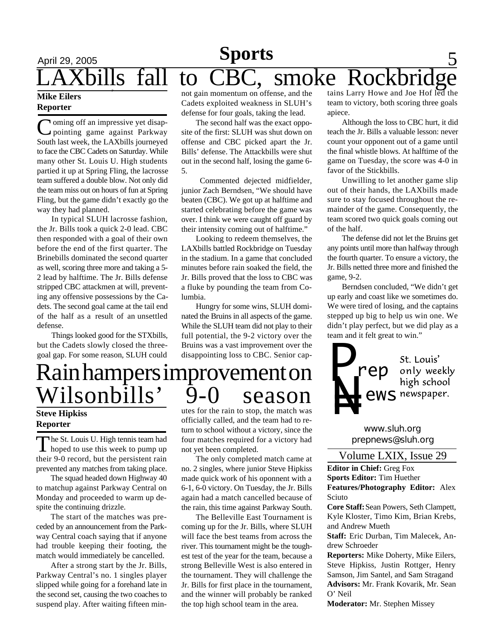## April 29, 2005 **Sports** 5 bills fall to CBC, smoke Rockbri P **Sports**

### **Mike Eilers Reporter**

Coming off an impressive yet disap-<br>pointing game against Parkway **Yoming off an impressive yet disap-**South last week, the LAXbills journeyed to face the CBC Cadets on Saturday. While many other St. Louis U. High students partied it up at Spring Fling, the lacrosse team suffered a double blow. Not only did the team miss out on hours of fun at Spring Fling, but the game didn't exactly go the way they had planned.

In typical SLUH lacrosse fashion, the Jr. Bills took a quick 2-0 lead. CBC then responded with a goal of their own before the end of the first quarter. The Brinebills dominated the second quarter as well, scoring three more and taking a 5- 2 lead by halftime. The Jr. Bills defense stripped CBC attackmen at will, preventing any offensive possessions by the Cadets. The second goal came at the tail end of the half as a result of an unsettled defense.

Things looked good for the STXbills, but the Cadets slowly closed the threegoal gap. For some reason, SLUH could

not gain momentum on offense, and the Cadets exploited weakness in SLUH's defense for four goals, taking the lead.

The second half was the exact opposite of the first: SLUH was shut down on offense and CBC picked apart the Jr. Bills' defense. The Attackbills were shut out in the second half, losing the game 6- 5.

Commented dejected midfielder, junior Zach Berndsen, "We should have beaten (CBC). We got up at halftime and started celebrating before the game was over. I think we were caught off guard by their intensity coming out of halftime."

Looking to redeem themselves, the LAXbills battled Rockbridge on Tuesday in the stadium. In a game that concluded minutes before rain soaked the field, the Jr. Bills proved that the loss to CBC was a fluke by pounding the team from Columbia.

Hungry for some wins, SLUH dominated the Bruins in all aspects of the game. While the SLUH team did not play to their full potential, the 9-2 victory over the Bruins was a vast improvement over the disappointing loss to CBC. Senior cap-

## Rain hampers improvement on Wilsonbills' 9-0 season

### **Steve Hipkiss Reporter**

The St. Louis U. High tennis team had<br>hoped to use this week to pump up he St. Louis U. High tennis team had their 9-0 record, but the persistent rain prevented any matches from taking place.

The squad headed down Highway 40 to matchup against Parkway Central on Monday and proceeded to warm up despite the continuing drizzle.

The start of the matches was preceded by an announcement from the Parkway Central coach saying that if anyone had trouble keeping their footing, the match would immediately be cancelled.

After a strong start by the Jr. Bills, Parkway Central's no. 1 singles player slipped while going for a forehand late in the second set, causing the two coaches to suspend play. After waiting fifteen minutes for the rain to stop, the match was officially called, and the team had to return to school without a victory, since the four matches required for a victory had not yet been completed.

The only completed match came at no. 2 singles, where junior Steve Hipkiss made quick work of his oponnent with a 6-1, 6-0 victory. On Tuesday, the Jr. Bills again had a match cancelled because of the rain, this time against Parkway South.

The Belleville East Tournament is coming up for the Jr. Bills, where SLUH will face the best teams from across the river. This tournament might be the toughest test of the year for the team, because a strong Belleville West is also entered in the tournament. They will challenge the Jr. Bills for first place in the tournament, and the winner will probably be ranked the top high school team in the area.

tains Larry Howe and Joe Hof led the team to victory, both scoring three goals apiece.

Although the loss to CBC hurt, it did teach the Jr. Bills a valuable lesson: never count your opponent out of a game until the final whistle blows. At halftime of the game on Tuesday, the score was 4-0 in favor of the Stickbills.

Unwilling to let another game slip out of their hands, the LAXbills made sure to stay focused throughout the remainder of the game. Consequently, the team scored two quick goals coming out of the half.

The defense did not let the Bruins get any points until more than halfway through the fourth quarter. To ensure a victory, the Jr. Bills netted three more and finished the game, 9-2.

Berndsen concluded, "We didn't get up early and coast like we sometimes do. We were tired of losing, and the captains stepped up big to help us win one. We didn't play perfect, but we did play as a team and it felt great to win."



*prepnews@sluh.org www.sluh.org*

Volume LXIX, Issue 29

**Editor in Chief:** Greg Fox **Sports Editor:** Tim Huether **Features/Photography Editor:** Alex Sciuto

**Core Staff:** Sean Powers, Seth Clampett, Kyle Kloster, Timo Kim, Brian Krebs, and Andrew Mueth

**Staff:** Eric Durban, Tim Malecek, Andrew Schroeder

**Reporters:** Mike Doherty, Mike Eilers, Steve Hipkiss, Justin Rottger, Henry Samson, Jim Santel, and Sam Stragand **Advisors:** Mr. Frank Kovarik, Mr. Sean O' Neil

**Moderator:** Mr. Stephen Missey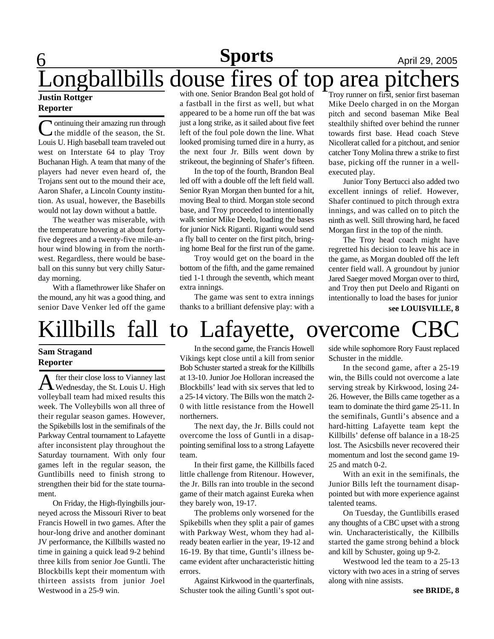## **6 Sports April 29, 2005** Longballbills douse fires of top area pitchers **Sports** with one. Senior Brandon Beal got hold of

### **Justin Rottger Reporter**

Continuing their amazing run through<br>the middle of the season, the St.  $\blacktriangleright$  the middle of the season, the St. Louis U. High baseball team traveled out west on Interstate 64 to play Troy Buchanan High. A team that many of the players had never even heard of, the Trojans sent out to the mound their ace, Aaron Shafer, a Lincoln County institution. As usual, however, the Basebills would not lay down without a battle.

The weather was miserable, with the temperature hovering at about fortyfive degrees and a twenty-five mile-anhour wind blowing in from the northwest. Regardless, there would be baseball on this sunny but very chilly Saturday morning.

With a flamethrower like Shafer on the mound, any hit was a good thing, and senior Dave Venker led off the game a fastball in the first as well, but what appeared to be a home run off the bat was just a long strike, as it sailed about five feet left of the foul pole down the line. What looked promising turned dire in a hurry, as the next four Jr. Bills went down by strikeout, the beginning of Shafer's fifteen.

In the top of the fourth, Brandon Beal led off with a double off the left field wall. Senior Ryan Morgan then bunted for a hit, moving Beal to third. Morgan stole second base, and Troy proceeded to intentionally walk senior Mike Deelo, loading the bases for junior Nick Riganti. Riganti would send a fly ball to center on the first pitch, bringing home Beal for the first run of the game.

Troy would get on the board in the bottom of the fifth, and the game remained tied 1-1 through the seventh, which meant extra innings.

The game was sent to extra innings thanks to a brilliant defensive play: with a

Troy runner on first, senior first baseman Mike Deelo charged in on the Morgan pitch and second baseman Mike Beal stealthily shifted over behind the runner towards first base. Head coach Steve Nicollerat called for a pitchout, and senior catcher Tony Molina threw a strike to first base, picking off the runner in a wellexecuted play.

Junior Tony Bertucci also added two excellent innings of relief. However, Shafer continued to pitch through extra innings, and was called on to pitch the ninth as well. Still throwing hard, he faced Morgan first in the top of the ninth.

The Troy head coach might have regretted his decision to leave his ace in the game, as Morgan doubled off the left center field wall. A groundout by junior Jared Saeger moved Morgan over to third, and Troy then put Deelo and Riganti on intentionally to load the bases for junior

**see LOUISVILLE, 8**

## Killbills fall to Lafayette, overcome

### **Sam Stragand Reporter**

A fter their close loss to Vianney last<br>Wednesday, the St. Louis U. High fter their close loss to Vianney last volleyball team had mixed results this week. The Volleybills won all three of their regular season games. However, the Spikebills lost in the semifinals of the Parkway Central tournament to Lafayette after inconsistent play throughout the Saturday tournament. With only four games left in the regular season, the Guntlibills need to finish strong to strengthen their bid for the state tournament.

On Friday, the High-flyingbills journeyed across the Missouri River to beat Francis Howell in two games. After the hour-long drive and another dominant JV performance, the Killbills wasted no time in gaining a quick lead 9-2 behind three kills from senior Joe Guntli. The Blockbills kept their momentum with thirteen assists from junior Joel Westwood in a 25-9 win.

In the second game, the Francis Howell Vikings kept close until a kill from senior Bob Schuster started a streak for the Killbills at 13-10. Junior Joe Holloran increased the Blockbills' lead with six serves that led to a 25-14 victory. The Bills won the match 2- 0 with little resistance from the Howell northerners.

The next day, the Jr. Bills could not overcome the loss of Guntli in a disappointing semifinal loss to a strong Lafayette team.

In their first game, the Killbills faced little challenge from Ritenour. However, the Jr. Bills ran into trouble in the second game of their match against Eureka when they barely won, 19-17.

The problems only worsened for the Spikebills when they split a pair of games with Parkway West, whom they had already beaten earlier in the year, 19-12 and 16-19. By that time, Guntli's illness became evident after uncharacteristic hitting errors.

Against Kirkwood in the quarterfinals, Schuster took the ailing Guntli's spot outside while sophomore Rory Faust replaced Schuster in the middle.

In the second game, after a 25-19 win, the Bills could not overcome a late serving streak by Kirkwood, losing 24- 26. However, the Bills came together as a team to dominate the third game 25-11. In the semifinals, Guntli's absence and a hard-hitting Lafayette team kept the Killbills' defense off balance in a 18-25 lost. The Asicsbills never recovered their momentum and lost the second game 19- 25 and match 0-2.

With an exit in the semifinals, the Junior Bills left the tournament disappointed but with more experience against talented teams.

On Tuesday, the Guntlibills erased any thoughts of a CBC upset with a strong win. Uncharacteristically, the Killbills started the game strong behind a block and kill by Schuster, going up 9-2.

Westwood led the team to a 25-13 victory with two aces in a string of serves along with nine assists.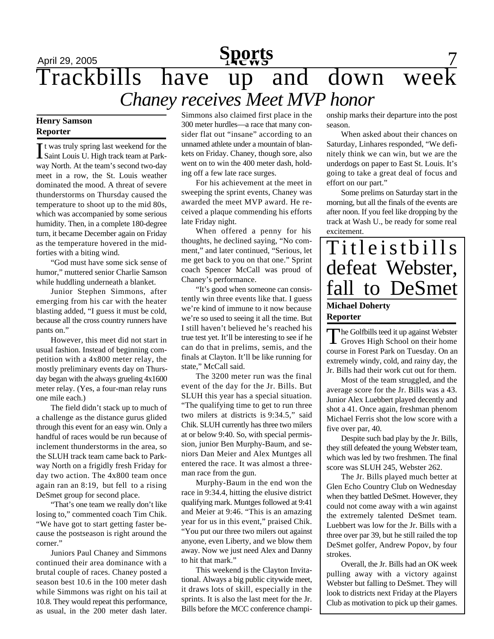## April 29, 2005 **News** 7 **Sports** Trackbills have up and down week *Chaney receives Meet MVP honor*

### **Henry Samson Reporter**

It was truly spring last weekend for the<br>Saint Louis U. High track team at Parkt was truly spring last weekend for the way North. At the team's second two-day meet in a row, the St. Louis weather dominated the mood. A threat of severe thunderstorms on Thursday caused the temperature to shoot up to the mid 80s, which was accompanied by some serious humidity. Then, in a complete 180-degree turn, it became December again on Friday as the temperature hovered in the midforties with a biting wind.

"God must have some sick sense of humor," muttered senior Charlie Samson while huddling underneath a blanket.

Junior Stephen Simmons, after emerging from his car with the heater blasting added, "I guess it must be cold, because all the cross country runners have pants on."

However, this meet did not start in usual fashion. Instead of beginning competition with a 4x800 meter relay, the mostly preliminary events day on Thursday began with the always grueling 4x1600 meter relay. (Yes, a four-man relay runs one mile each.)

The field didn't stack up to much of a challenge as the distance gurus glided through this event for an easy win. Only a handful of races would be run because of inclement thunderstorms in the area, so the SLUH track team came back to Parkway North on a frigidly fresh Friday for day two action. The 4x800 team once again ran an 8:19, but fell to a rising DeSmet group for second place.

"That's one team we really don't like losing to," commented coach Tim Chik. "We have got to start getting faster because the postseason is right around the corner."

Juniors Paul Chaney and Simmons continued their area dominance with a brutal couple of races. Chaney posted a season best 10.6 in the 100 meter dash while Simmons was right on his tail at 10.8. They would repeat this performance, as usual, in the 200 meter dash later.

Simmons also claimed first place in the 300 meter hurdles—a race that many consider flat out "insane" according to an unnamed athlete under a mountain of blankets on Friday. Chaney, though sore, also went on to win the 400 meter dash, holding off a few late race surges.

For his achievement at the meet in sweeping the sprint events, Chaney was awarded the meet MVP award. He received a plaque commending his efforts late Friday night.

When offered a penny for his thoughts, he declined saying, "No comment," and later continued, "Serious, let me get back to you on that one." Sprint coach Spencer McCall was proud of Chaney's performance.

"It's good when someone can consistently win three events like that. I guess we're kind of immune to it now because we're so used to seeing it all the time. But I still haven't believed he's reached his true test yet. It'll be interesting to see if he can do that in prelims, semis, and the finals at Clayton. It'll be like running for state," McCall said.

The 3200 meter run was the final event of the day for the Jr. Bills. But SLUH this year has a special situation. "The qualifying time to get to run three two milers at districts is 9:34.5," said Chik. SLUH currently has three two milers at or below 9:40. So, with special permission, junior Ben Murphy-Baum, and seniors Dan Meier and Alex Muntges all entered the race. It was almost a threeman race from the gun.

Murphy-Baum in the end won the race in 9:34.4, hitting the elusive district qualifying mark. Muntges followed at 9:41 and Meier at 9:46. "This is an amazing year for us in this event," praised Chik. "You put our three two milers out against anyone, even Liberty, and we blow them away. Now we just need Alex and Danny to hit that mark."

This weekend is the Clayton Invitational. Always a big public citywide meet, it draws lots of skill, especially in the sprints. It is also the last meet for the Jr. Bills before the MCC conference championship marks their departure into the post season.

When asked about their chances on Saturday, Linhares responded, "We definitely think we can win, but we are the underdogs on paper to East St. Louis. It's going to take a great deal of focus and effort on our part."

Some prelims on Saturday start in the morning, but all the finals of the events are after noon. If you feel like dropping by the track at Wash U., be ready for some real excitement.

## Title ist bills defeat Webster, fall to DeSmet **Michael Doherty Reporter**

The Golfbills teed it up against Webster<br>Groves High School on their home The Golfbills teed it up against Webster course in Forest Park on Tuesday. On an extremely windy, cold, and rainy day, the Jr. Bills had their work cut out for them.

Most of the team struggled, and the average score for the Jr. Bills was a 43. Junior Alex Luebbert played decently and shot a 41. Once again, freshman phenom Michael Ferris shot the low score with a five over par, 40.

Despite such bad play by the Jr. Bills, they still defeated the young Webster team, which was led by two freshmen. The final score was SLUH 245, Webster 262.

The Jr. Bills played much better at Glen Echo Country Club on Wednesday when they battled DeSmet. However, they could not come away with a win against the extremely talented DeSmet team. Luebbert was low for the Jr. Bills with a three over par 39, but he still railed the top DeSmet golfer, Andrew Popov, by four strokes.

Overall, the Jr. Bills had an OK week pulling away with a victory against Webster but falling to DeSmet. They will look to districts next Friday at the Players Club as motivation to pick up their games.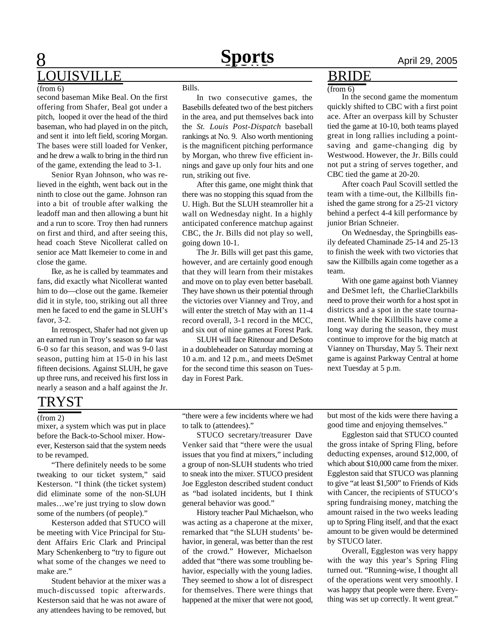## 8 **News** April 29, 2005 *COUISVILLE*

#### (from 6)

second baseman Mike Beal. On the first offering from Shafer, Beal got under a pitch, looped it over the head of the third baseman, who had played in on the pitch, and sent it into left field, scoring Morgan. The bases were still loaded for Venker, and he drew a walk to bring in the third run of the game, extending the lead to 3-1.

Senior Ryan Johnson, who was relieved in the eighth, went back out in the ninth to close out the game. Johnson ran into a bit of trouble after walking the leadoff man and then allowing a bunt hit and a run to score. Troy then had runners on first and third, and after seeing this, head coach Steve Nicollerat called on senior ace Matt Ikemeier to come in and close the game.

Ike, as he is called by teammates and fans, did exactly what Nicollerat wanted him to do—close out the game. Ikemeier did it in style, too, striking out all three men he faced to end the game in SLUH's favor, 3-2.

In retrospect, Shafer had not given up an earned run in Troy's season so far was 6-0 so far this season, and was 9-0 last season, putting him at 15-0 in his last fifteen decisions. Against SLUH, he gave up three runs, and received his first loss in nearly a season and a half against the Jr.

Bills.

In two consecutive games, the Basebills defeated two of the best pitchers in the area, and put themselves back into the *St. Louis Post-Dispatch* baseball rankings at No. 9. Also worth mentioning is the magnificent pitching performance by Morgan, who threw five efficient innings and gave up only four hits and one run, striking out five.

After this game, one might think that there was no stopping this squad from the U. High. But the SLUH steamroller hit a wall on Wednesday night. In a highly anticipated conference matchup against CBC, the Jr. Bills did not play so well, going down 10-1.

The Jr. Bills will get past this game, however, and are certainly good enough that they will learn from their mistakes and move on to play even better baseball. They have shown us their potential through the victories over Vianney and Troy, and will enter the stretch of May with an 11-4 record overall, 3-1 record in the MCC, and six out of nine games at Forest Park.

SLUH will face Ritenour and DeSoto in a doubleheader on Saturday morning at 10 a.m. and 12 p.m., and meets DeSmet for the second time this season on Tuesday in Forest Park.

## BRIDE

#### (from 6)

In the second game the momentum quickly shifted to CBC with a first point ace. After an overpass kill by Schuster tied the game at 10-10, both teams played great in long rallies including a pointsaving and game-changing dig by Westwood. However, the Jr. Bills could not put a string of serves together, and CBC tied the game at 20-20.

After coach Paul Scovill settled the team with a time-out, the Killbills finished the game strong for a 25-21 victory behind a perfect 4-4 kill performance by junior Brian Schneier.

On Wednesday, the Springbills easily defeated Chaminade 25-14 and 25-13 to finish the week with two victories that saw the Killbills again come together as a team.

With one game against both Vianney and DeSmet left, the CharlieClarkbills need to prove their worth for a host spot in districts and a spot in the state tournament. While the Killbills have come a long way during the season, they must continue to improve for the big match at Vianney on Thursday, May 5. Their next game is against Parkway Central at home next Tuesday at 5 p.m.

## TRYST

#### (from 2)

mixer, a system which was put in place before the Back-to-School mixer. However, Kesterson said that the system needs to be revamped.

"There definitely needs to be some tweaking to our ticket system," said Kesterson. "I think (the ticket system) did eliminate some of the non-SLUH males…we're just trying to slow down some of the numbers (of people)."

Kesterson added that STUCO will be meeting with Vice Principal for Student Affairs Eric Clark and Principal Mary Schenkenberg to "try to figure out what some of the changes we need to make are."

Student behavior at the mixer was a much-discussed topic afterwards. Kesterson said that he was not aware of any attendees having to be removed, but

"there were a few incidents where we had to talk to (attendees)."

STUCO secretary/treasurer Dave Venker said that "there were the usual issues that you find at mixers," including a group of non-SLUH students who tried to sneak into the mixer. STUCO president Joe Eggleston described student conduct as "bad isolated incidents, but I think general behavior was good."

History teacher Paul Michaelson, who was acting as a chaperone at the mixer, remarked that "the SLUH students' behavior, in general, was better than the rest of the crowd." However, Michaelson added that "there was some troubling behavior, especially with the young ladies. They seemed to show a lot of disrespect for themselves. There were things that happened at the mixer that were not good, but most of the kids were there having a good time and enjoying themselves."

Eggleston said that STUCO counted the gross intake of Spring Fling, before deducting expenses, around \$12,000, of which about \$10,000 came from the mixer. Eggleston said that STUCO was planning to give "at least \$1,500" to Friends of Kids with Cancer, the recipients of STUCO's spring fundraising money, matching the amount raised in the two weeks leading up to Spring Fling itself, and that the exact amount to be given would be determined by STUCO later.

Overall, Eggleston was very happy with the way this year's Spring Fling turned out. "Running-wise, I thought all of the operations went very smoothly. I was happy that people were there. Everything was set up correctly. It went great."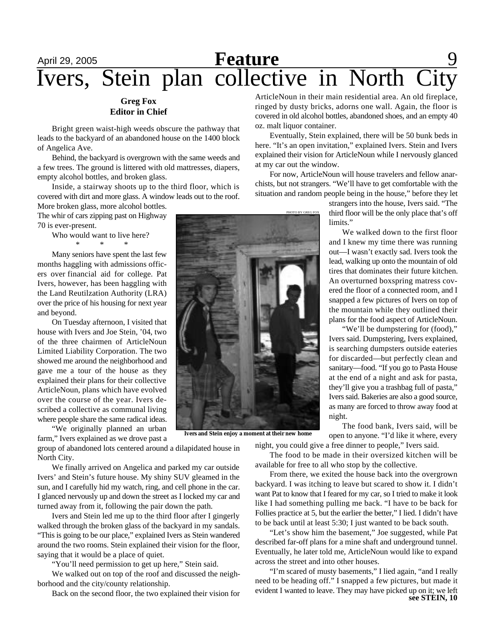## April 29, 2005 **Feature** 9 Ivers, Stein plan collective in North City

#### **Greg Fox Editor in Chief**

Bright green waist-high weeds obscure the pathway that leads to the backyard of an abandoned house on the 1400 block of Angelica Ave.

Behind, the backyard is overgrown with the same weeds and a few trees. The ground is littered with old mattresses, diapers, empty alcohol bottles, and broken glass.

Inside, a stairway shoots up to the third floor, which is covered with dirt and more glass. A window leads out to the roof. More broken glass, more alcohol bottles.

The whir of cars zipping past on Highway 70 is ever-present.

> Who would want to live here? \* \* \*

Many seniors have spent the last few months haggling with admissions officers over financial aid for college. Pat Ivers, however, has been haggling with the Land Reutilzation Authority (LRA) over the price of his housing for next year and beyond.

On Tuesday afternoon, I visited that house with Ivers and Joe Stein, '04, two of the three chairmen of ArticleNoun Limited Liability Corporation. The two showed me around the neighborhood and gave me a tour of the house as they explained their plans for their collective ArticleNoun, plans which have evolved over the course of the year. Ivers described a collective as communal living where people share the same radical ideas.

"We originally planned an urban farm," Ivers explained as we drove past a

group of abandoned lots centered around a dilapidated house in North City.

We finally arrived on Angelica and parked my car outside Ivers' and Stein's future house. My shiny SUV gleamed in the sun, and I carefully hid my watch, ring, and cell phone in the car. I glanced nervously up and down the street as I locked my car and turned away from it, following the pair down the path.

Ivers and Stein led me up to the third floor after I gingerly walked through the broken glass of the backyard in my sandals. "This is going to be our place," explained Ivers as Stein wandered around the two rooms. Stein explained their vision for the floor, saying that it would be a place of quiet.

"You'll need permission to get up here," Stein said.

We walked out on top of the roof and discussed the neighborhood and the city/county relationship.

Back on the second floor, the two explained their vision for

ArticleNoun in their main residential area. An old fireplace, ringed by dusty bricks, adorns one wall. Again, the floor is covered in old alcohol bottles, abandoned shoes, and an empty 40 oz. malt liquor container.

Eventually, Stein explained, there will be 50 bunk beds in here. "It's an open invitation," explained Ivers. Stein and Ivers explained their vision for ArticleNoun while I nervously glanced at my car out the window.

For now, ArticleNoun will house travelers and fellow anarchists, but not strangers. "We'll have to get comfortable with the situation and random people being in the house," before they let

> strangers into the house, Ivers said. "The third floor will be the only place that's off limits."

> We walked down to the first floor and I knew my time there was running out—I wasn't exactly sad. Ivers took the lead, walking up onto the mountain of old tires that dominates their future kitchen. An overturned boxspring matress covered the floor of a connected room, and I snapped a few pictures of Ivers on top of the mountain while they outlined their plans for the food aspect of ArticleNoun.

> "We'll be dumpstering for (food)," Ivers said. Dumpstering, Ivers explained, is searching dumpsters outside eateries for discarded—but perfectly clean and sanitary—food. "If you go to Pasta House at the end of a night and ask for pasta, they'll give you a trashbag full of pasta," Ivers said. Bakeries are also a good source, as many are forced to throw away food at night.

The food bank, Ivers said, will be open to anyone. "I'd like it where, every night, you could give a free dinner to people," Ivers said.

The food to be made in their oversized kitchen will be available for free to all who stop by the collective.

From there, we exited the house back into the overgrown backyard. I was itching to leave but scared to show it. I didn't want Pat to know that I feared for my car, so I tried to make it look like I had something pulling me back. "I have to be back for Follies practice at 5, but the earlier the better," I lied. I didn't have to be back until at least 5:30; I just wanted to be back south.

"Let's show him the basement," Joe suggested, while Pat described far-off plans for a mine shaft and underground tunnel. Eventually, he later told me, ArticleNoun would like to expand across the street and into other houses.

"I'm scared of musty basements," I lied again, "and I really need to be heading off." I snapped a few pictures, but made it evident I wanted to leave. They may have picked up on it; we left **see STEIN, 10**

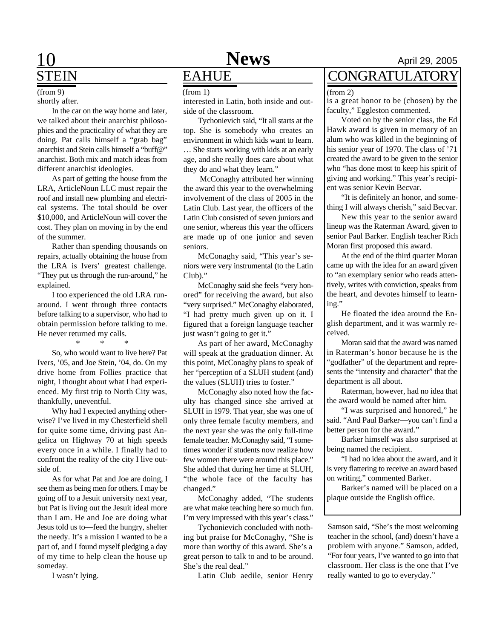# TEIN

shortly after. (from 9)

In the car on the way home and later, we talked about their anarchist philosophies and the practicality of what they are doing. Pat calls himself a "grab bag" anarchist and Stein calls himself a "buff@" anarchist. Both mix and match ideas from different anarchist ideologies.

As part of getting the house from the LRA, ArticleNoun LLC must repair the roof and install new plumbing and electrical systems. The total should be over \$10,000, and ArticleNoun will cover the cost. They plan on moving in by the end of the summer.

Rather than spending thousands on repairs, actually obtaining the house from the LRA is Ivers' greatest challenge. "They put us through the run-around," he explained.

I too experienced the old LRA runaround. I went through three contacts before talking to a supervisor, who had to obtain permission before talking to me. He never returned my calls.

\* \* \* So, who would want to live here? Pat Ivers, '05, and Joe Stein, '04, do. On my drive home from Follies practice that night, I thought about what I had experienced. My first trip to North City was, thankfully, uneventful.

Why had I expected anything otherwise? I've lived in my Chesterfield shell for quite some time, driving past Angelica on Highway 70 at high speeds every once in a while. I finally had to confront the reality of the city I live outside of.

As for what Pat and Joe are doing, I see them as being men for others. I may be going off to a Jesuit university next year, but Pat is living out the Jesuit ideal more than I am. He and Joe are doing what Jesus told us to—feed the hungry, shelter the needy. It's a mission I wanted to be a part of, and I found myself pledging a day of my time to help clean the house up someday.

I wasn't lying.

## EAHUE (from 1)

interested in Latin, both inside and outside of the classroom.

Tychonievich said, "It all starts at the top. She is somebody who creates an environment in which kids want to learn. … She starts working with kids at an early age, and she really does care about what they do and what they learn."

 McConaghy attributed her winning the award this year to the overwhelming involvement of the class of 2005 in the Latin Club. Last year, the officers of the Latin Club consisted of seven juniors and one senior, whereas this year the officers are made up of one junior and seven seniors.

McConaghy said, "This year's seniors were very instrumental (to the Latin Club)."

McConaghy said she feels "very honored" for receiving the award, but also "very surprised." McConaghy elaborated, "I had pretty much given up on it. I figured that a foreign language teacher just wasn't going to get it."

As part of her award, McConaghy will speak at the graduation dinner. At this point, McConaghy plans to speak of her "perception of a SLUH student (and) the values (SLUH) tries to foster."

McConaghy also noted how the faculty has changed since she arrived at SLUH in 1979. That year, she was one of only three female faculty members, and the next year she was the only full-time female teacher. McConaghy said, "I sometimes wonder if students now realize how few women there were around this place." She added that during her time at SLUH, "the whole face of the faculty has changed."

McConaghy added, "The students are what make teaching here so much fun. I'm very impressed with this year's class."

Tychonievich concluded with nothing but praise for McConaghy, "She is more than worthy of this award. She's a great person to talk to and to be around. She's the real deal."

Latin Club aedile, senior Henry

## CONGRATULATORY

(from 2)

is a great honor to be (chosen) by the faculty," Eggleston commented.

Voted on by the senior class, the Ed Hawk award is given in memory of an alum who was killed in the beginning of his senior year of 1970. The class of '71 created the award to be given to the senior who "has done most to keep his spirit of giving and working." This year's recipient was senior Kevin Becvar.

"It is definitely an honor, and something I will always cherish," said Becvar.

New this year to the senior award lineup was the Raterman Award, given to senior Paul Barker. English teacher Rich Moran first proposed this award.

At the end of the third quarter Moran came up with the idea for an award given to "an exemplary senior who reads attentively, writes with conviction, speaks from the heart, and devotes himself to learning."

He floated the idea around the English department, and it was warmly received.

Moran said that the award was named in Raterman's honor because he is the "godfather" of the department and represents the "intensity and character" that the department is all about.

Raterman, however, had no idea that the award would be named after him.

"I was surprised and honored," he said. "And Paul Barker—you can't find a better person for the award."

Barker himself was also surprised at being named the recipient.

"I had no idea about the award, and it is very flattering to receive an award based on writing," commented Barker.

Barker's named will be placed on a plaque outside the English office.

Samson said, "She's the most welcoming teacher in the school, (and) doesn't have a problem with anyone." Samson, added, "For four years, I've wanted to go into that classroom. Her class is the one that I've really wanted to go to everyday."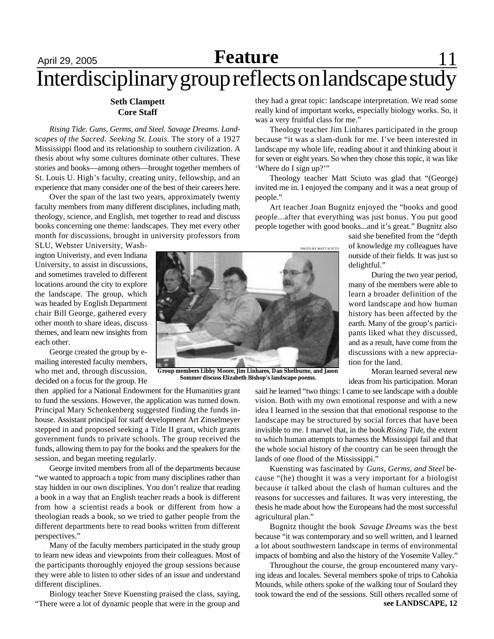## April 29, 2005 **Feature** 11 Interdisciplinary group reflects on landscape study

### **Seth Clampett Core Staff**

*Rising Tide. Guns, Germs, and Steel. Savage Dreams. Landscapes of the Sacred. Seeking St. Louis.* The story of a 1927 Mississippi flood and its relationship to southern civilization. A thesis about why some cultures dominate other cultures. These stories and books—among others—brought together members of St. Louis U. High's faculty, creating unity, fellowship, and an experience that many consider one of the best of their careers here.

Over the span of the last two years, approximately twenty faculty members from many different disciplines, including math, theology, science, and English, met together to read and discuss books concerning one theme: landscapes. They met every other month for discussions, brought in university professors from

SLU, Webster University, Washington Univeristy, and even Indiana University, to assist in discussions, and sometimes traveled to different locations around the city to explore the landscape. The group, which was headed by English Department chair Bill George, gathered every other month to share ideas, discuss themes, and learn new insights from each other.

George created the group by emailing interested faculty members, who met and, through discussion, decided on a focus for the group. He

then applied for a National Endowment for the Humanities grant to fund the sessions. However, the application was turned down. Principal Mary Schenkenberg suggested finding the funds inhouse. Assistant principal for staff development Art Zinselmeyer stepped in and proposed seeking a Title II grant, which grants government funds to private schools. The group received the funds, allowing them to pay for the books and the speakers for the session, and began meeting regularly.

George invited members from all of the departments because "we wanted to approach a topic from many disciplines rather than stay hidden in our own disciplines. You don't realize that reading a book in a way that an English teacher reads a book is different from how a scientist reads a book or different from how a theologian reads a book, so we tried to gather people from the different departments here to read books written from different perspectives."

Many of the faculty members participated in the study group to learn new ideas and viewpoints from their colleagues. Most of the participants thoroughly enjoyed the group sessions because they were able to listen to other sides of an issue and understand different disciplines.

Biology teacher Steve Kuensting praised the class, saying, "There were a lot of dynamic people that were in the group and they had a great topic: landscape interpretation. We read some really kind of important works, especially biology works. So, it was a very fruitful class for me."

Theology teacher Jim Linhares participated in the group because "it was a slam-dunk for me. I've been interested in landscape my whole life, reading about it and thinking about it for seven or eight years. So when they chose this topic, it was like 'Where do I sign up?'"

Theology teacher Matt Sciuto was glad that "(George) invited me in. I enjoyed the company and it was a neat group of people."

Art teacher Joan Bugnitz enjoyed the "books and good people...after that everything was just bonus. You put good people together with good books...and it's great." Bugnitz also

delightful."

tion for the land.

said she benefited from the "depth of knowledge my colleagues have outside of their fields. It was just so

During the two year period, many of the members were able to learn a broader definition of the word landscape and how human history has been affected by the earth. Many of the group's participants liked what they discussed, and as a result, have come from the discussions with a new apprecia-

Moran learned several new ideas from his participation. Moran

PHOTO BY MATT SCIUTO



**Group members Libby Moore, Jim Linhares, Dan Shelburne, and Jason Sommer discuss Elizabeth Bishop's landscape poems.**

said he learned "two things: I came to see landscape with a double vision. Both with my own emotional response and with a new idea I learned in the session that that emotional response to the landscape may be structured by social forces that have been invisible to me. I marvel that, in the book *Rising Tide*, the extent to which human attempts to harness the Mississippi fail and that the whole social history of the country can be seen through the lands of one flood of the Mississippi."

Kuensting was fascinated by *Guns, Germs, and Steel* because "(he) thought it was a very important for a biologist because it talked about the clash of human cultures and the reasons for successes and failures. It was very interesting, the thesis he made about how the Europeans had the most successful agricultural plan."

Bugnitz thought the book *Savage Dreams* was the best because "it was contemporary and so well written, and I learned a lot about southwestern landscape in terms of environmental impacts of bombing and also the history of the Yosemite Valley."

Throughout the course, the group encountered many varying ideas and locales. Several members spoke of trips to Cahokia Mounds, while others spoke of the walking tour of Soulard they took toward the end of the sessions. Still others recalled some of **see LANDSCAPE, 12**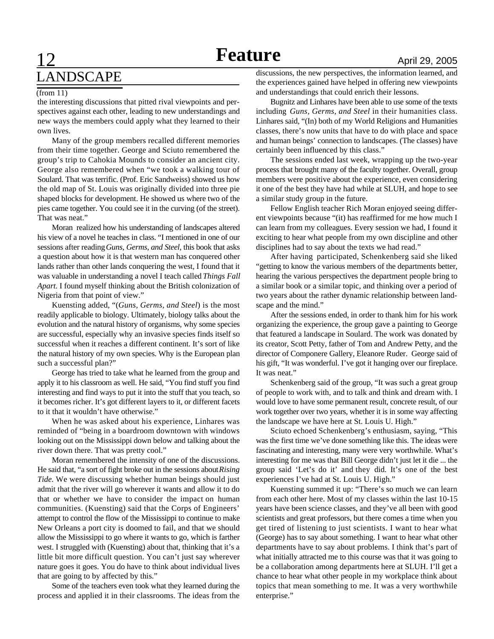#### (from 11)

the interesting discussions that pitted rival viewpoints and perspectives against each other, leading to new understandings and new ways the members could apply what they learned to their own lives.

Many of the group members recalled different memories from their time together. George and Sciuto remembered the group's trip to Cahokia Mounds to consider an ancient city. George also remembered when "we took a walking tour of Soulard. That was terrific. (Prof. Eric Sandweiss) showed us how the old map of St. Louis was originally divided into three pie shaped blocks for development. He showed us where two of the pies came together. You could see it in the curving (of the street). That was neat."

Moran realized how his understanding of landscapes altered his view of a novel he teaches in class. "I mentioned in one of our sessions after reading *Guns, Germs, and Steel,* this book that asks a question about how it is that western man has conquered other lands rather than other lands conquering the west, I found that it was valuable in understanding a novel I teach called *Things Fall Apart.* I found myself thinking about the British colonization of Nigeria from that point of view."

Kuensting added, "(*Guns, Germs, and Steel*) is the most readily applicable to biology. Ultimately, biology talks about the evolution and the natural history of organisms, why some species are successful, especially why an invasive species finds itself so successful when it reaches a different continent. It's sort of like the natural history of my own species. Why is the European plan such a successful plan?"

George has tried to take what he learned from the group and apply it to his classroom as well. He said, "You find stuff you find interesting and find ways to put it into the stuff that you teach, so it becomes richer. It's got different layers to it, or different facets to it that it wouldn't have otherwise."

When he was asked about his experience, Linhares was reminded of "being in a boardroom downtown with windows looking out on the Mississippi down below and talking about the river down there. That was pretty cool."

Moran remembered the intensity of one of the discussions. He said that, "a sort of fight broke out in the sessions about *Rising Tide.* We were discussing whether human beings should just admit that the river will go wherever it wants and allow it to do that or whether we have to consider the impact on human communities. (Kuensting) said that the Corps of Engineers' attempt to control the flow of the Mississippi to continue to make New Orleans a port city is doomed to fail, and that we should allow the Mississippi to go where it wants to go, which is farther west. I struggled with (Kuensting) about that, thinking that it's a little bit more difficult question. You can't just say wherever nature goes it goes. You do have to think about individual lives that are going to by affected by this."

Some of the teachers even took what they learned during the process and applied it in their classrooms. The ideas from the discussions, the new perspectives, the information learned, and the experiences gained have helped in offering new viewpoints and understandings that could enrich their lessons.

Bugnitz and Linhares have been able to use some of the texts including *Guns, Germs, and Steel* in their humanities class. Linhares said, "(In) both of my World Religions and Humanities classes, there's now units that have to do with place and space and human beings' connection to landscapes. (The classes) have certainly been influenced by this class."

The sessions ended last week, wrapping up the two-year process that brought many of the faculty together. Overall, group members were positive about the experience, even considering it one of the best they have had while at SLUH, and hope to see a similar study group in the future.

Fellow English teacher Rich Moran enjoyed seeing different viewpoints because "(it) has reaffirmed for me how much I can learn from my colleagues. Every session we had, I found it exciting to hear what people from my own discipline and other disciplines had to say about the texts we had read."

After having participated, Schenkenberg said she liked "getting to know the various members of the departments better, hearing the various perspectives the department people bring to a similar book or a similar topic, and thinking over a period of two years about the rather dynamic relationship between landscape and the mind."

After the sessions ended, in order to thank him for his work organizing the experience, the group gave a painting to George that featured a landscape in Soulard. The work was donated by its creator, Scott Petty, father of Tom and Andrew Petty, and the director of Componere Gallery, Eleanore Ruder. George said of his gift, "It was wonderful. I've got it hanging over our fireplace. It was neat."

Schenkenberg said of the group, "It was such a great group of people to work with, and to talk and think and dream with. I would love to have some permanent result, concrete result, of our work together over two years, whether it is in some way affecting the landscape we have here at St. Louis U. High."

Sciuto echoed Schenkenberg's enthusiasm, saying, "This was the first time we've done something like this. The ideas were fascinating and interesting, many were very worthwhile. What's interesting for me was that Bill George didn't just let it die ... the group said 'Let's do it' and they did. It's one of the best experiences I've had at St. Louis U. High."

Kuensting summed it up: "There's so much we can learn from each other here. Most of my classes within the last 10-15 years have been science classes, and they've all been with good scientists and great professors, but there comes a time when you get tired of listening to just scientists. I want to hear what (George) has to say about something. I want to hear what other departments have to say about problems. I think that's part of what initially attracted me to this course was that it was going to be a collaboration among departments here at SLUH. I'll get a chance to hear what other people in my workplace think about topics that mean something to me. It was a very worthwhile enterprise."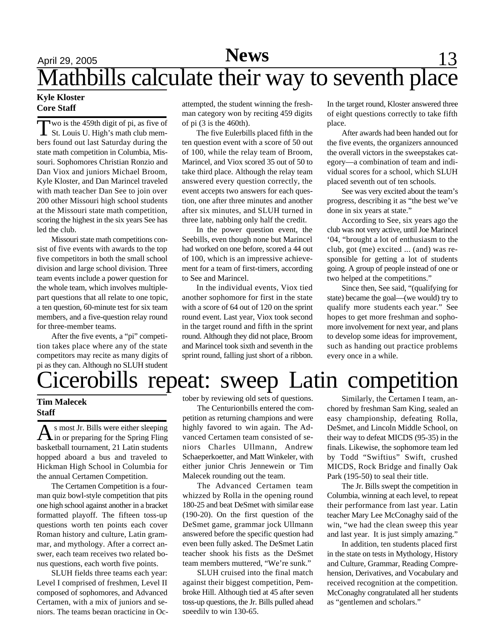## April 29, 2005 **News** 13 Mathbills calculate their way to seventh place

### **Kyle Kloster Core Staff**

Two is the 459th digit of pi, as five of<br>St. Louis U. High's math club memwo is the 459th digit of pi, as five of bers found out last Saturday during the state math competition in Columbia, Missouri. Sophomores Christian Ronzio and Dan Viox and juniors Michael Broom, Kyle Kloster, and Dan Marincel traveled with math teacher Dan See to join over 200 other Missouri high school students at the Missouri state math competition, scoring the highest in the six years See has led the club.

Missouri state math competitions consist of five events with awards to the top five competitors in both the small school division and large school division. Three team events include a power question for the whole team, which involves multiplepart questions that all relate to one topic, a ten question, 60-minute test for six team members, and a five-question relay round for three-member teams.

After the five events, a "pi" competition takes place where any of the state competitors may recite as many digits of pi as they can. Although no SLUH student

attempted, the student winning the freshman category won by reciting 459 digits of pi (3 is the 460th).

The five Eulerbills placed fifth in the ten question event with a score of 50 out of 100, while the relay team of Broom, Marincel, and Viox scored 35 out of 50 to take third place. Although the relay team answered every question correctly, the event accepts two answers for each question, one after three minutes and another after six minutes, and SLUH turned in three late, nabbing only half the credit.

In the power question event, the Seebills, even though none but Marincel had worked on one before, scored a 44 out of 100, which is an impressive achievement for a team of first-timers, according to See and Marincel.

In the individual events, Viox tied another sophomore for first in the state with a score of 64 out of 120 on the sprint round event. Last year, Viox took second in the target round and fifth in the sprint round. Although they did not place, Broom and Marincel took sixth and seventh in the sprint round, falling just short of a ribbon.

In the target round, Kloster answered three of eight questions correctly to take fifth place.

After awards had been handed out for the five events, the organizers announced the overall victors in the sweepstakes category—a combination of team and individual scores for a school, which SLUH placed seventh out of ten schools.

See was very excited about the team's progress, describing it as "the best we've done in six years at state."

According to See, six years ago the club was not very active, until Joe Marincel '04, "brought a lot of enthusiasm to the club, got (me) excited ... (and) was responsible for getting a lot of students going. A group of people instead of one or two helped at the competitions."

Since then, See said, "(qualifying for state) became the goal—(we would) try to qualify more students each year." See hopes to get more freshman and sophomore involvement for next year, and plans to develop some ideas for improvement, such as handing out practice problems every once in a while.

## Cicerobills repeat: sweep Latin competition

### **Tim Malecek Staff**

As most Jr. Bills were either sleeping<br>in or preparing for the Spring Fling s most Jr. Bills were either sleeping basketball tournament, 21 Latin students hopped aboard a bus and traveled to Hickman High School in Columbia for the annual Certamen Competition.

The Certamen Competition is a fourman quiz bowl-style competition that pits one high school against another in a bracket formatted playoff. The fifteen toss-up questions worth ten points each cover Roman history and culture, Latin grammar, and mythology. After a correct answer, each team receives two related bonus questions, each worth five points.

SLUH fields three teams each year: Level I comprised of freshmen, Level II composed of sophomores, and Advanced Certamen, with a mix of juniors and seniors. The teams began practicing in October by reviewing old sets of questions.

The Centurionbills entered the competition as returning champions and were highly favored to win again. The Advanced Certamen team consisted of seniors Charles Ullmann, Andrew Schaeperkoetter, and Matt Winkeler, with either junior Chris Jennewein or Tim Malecek rounding out the team.

The Advanced Certamen team whizzed by Rolla in the opening round 180-25 and beat DeSmet with similar ease (190-20). On the first question of the DeSmet game, grammar jock Ullmann answered before the specific question had even been fully asked. The DeSmet Latin teacher shook his fists as the DeSmet team members muttered, "We're sunk."

SLUH cruised into the final match against their biggest competition, Pembroke Hill. Although tied at 45 after seven toss-up questions, the Jr. Bills pulled ahead speedily to win 130-65.

Similarly, the Certamen I team, anchored by freshman Sam King, sealed an easy championship, defeating Rolla, DeSmet, and Lincoln Middle School, on their way to defeat MICDS (95-35) in the finals. Likewise, the sophomore team led by Todd "Swiftius" Swift, crushed MICDS, Rock Bridge and finally Oak Park (195-50) to seal their title.

The Jr. Bills swept the competition in Columbia, winning at each level, to repeat their performance from last year. Latin teacher Mary Lee McConaghy said of the win, "we had the clean sweep this year and last year. It is just simply amazing."

In addition, ten students placed first in the state on tests in Mythology, History and Culture, Grammar, Reading Comprehension, Derivatives, and Vocabulary and received recognition at the competition. McConaghy congratulated all her students as "gentlemen and scholars."